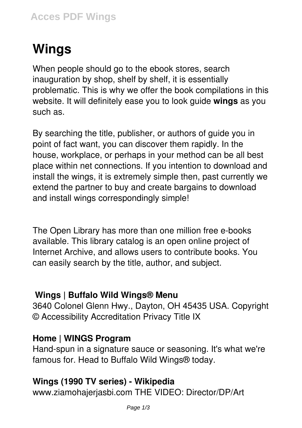# **Wings**

When people should go to the ebook stores, search inauguration by shop, shelf by shelf, it is essentially problematic. This is why we offer the book compilations in this website. It will definitely ease you to look guide **wings** as you such as.

By searching the title, publisher, or authors of guide you in point of fact want, you can discover them rapidly. In the house, workplace, or perhaps in your method can be all best place within net connections. If you intention to download and install the wings, it is extremely simple then, past currently we extend the partner to buy and create bargains to download and install wings correspondingly simple!

The Open Library has more than one million free e-books available. This library catalog is an open online project of Internet Archive, and allows users to contribute books. You can easily search by the title, author, and subject.

#### **Wings | Buffalo Wild Wings® Menu**

3640 Colonel Glenn Hwy., Dayton, OH 45435 USA. Copyright © Accessibility Accreditation Privacy Title IX

#### **Home | WINGS Program**

Hand-spun in a signature sauce or seasoning. It's what we're famous for. Head to Buffalo Wild Wings® today.

#### **Wings (1990 TV series) - Wikipedia**

www.ziamohajerjasbi.com THE VIDEO: Director/DP/Art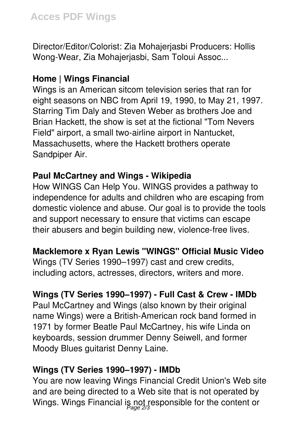Director/Editor/Colorist: Zia Mohajerjasbi Producers: Hollis Wong-Wear, Zia Mohajerjasbi, Sam Toloui Assoc...

# **Home | Wings Financial**

Wings is an American sitcom television series that ran for eight seasons on NBC from April 19, 1990, to May 21, 1997. Starring Tim Daly and Steven Weber as brothers Joe and Brian Hackett, the show is set at the fictional "Tom Nevers Field" airport, a small two-airline airport in Nantucket, Massachusetts, where the Hackett brothers operate Sandpiper Air.

# **Paul McCartney and Wings - Wikipedia**

How WINGS Can Help You. WINGS provides a pathway to independence for adults and children who are escaping from domestic violence and abuse. Our goal is to provide the tools and support necessary to ensure that victims can escape their abusers and begin building new, violence-free lives.

## **Macklemore x Ryan Lewis "WINGS" Official Music Video**

Wings (TV Series 1990–1997) cast and crew credits, including actors, actresses, directors, writers and more.

# **Wings (TV Series 1990–1997) - Full Cast & Crew - IMDb**

Paul McCartney and Wings (also known by their original name Wings) were a British-American rock band formed in 1971 by former Beatle Paul McCartney, his wife Linda on keyboards, session drummer Denny Seiwell, and former Moody Blues guitarist Denny Laine.

## **Wings (TV Series 1990–1997) - IMDb**

You are now leaving Wings Financial Credit Union's Web site and are being directed to a Web site that is not operated by Wings. Wings Financial is not responsible for the content or